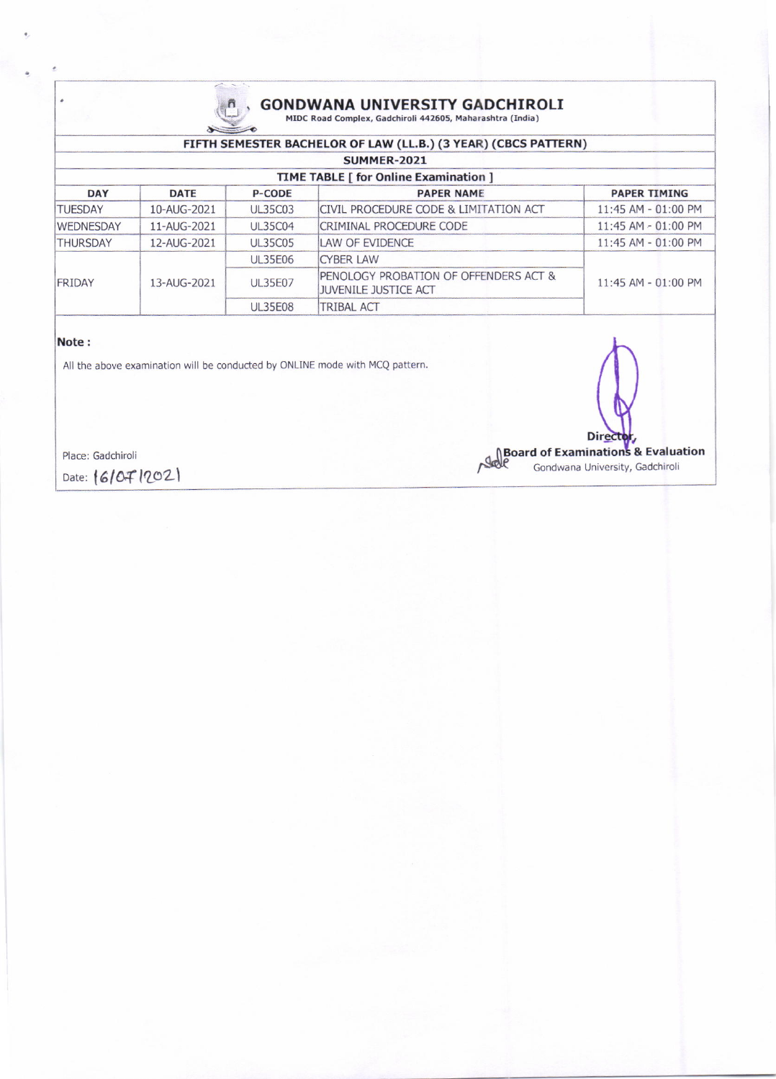

# $A_{\text{MDC Road Complex, Gadchiroli 442605, Maharashtra (India)}$ , GONDWANA UNIVERSITY GADCHIROLI

|                                       |             |                | FIFTH SEMESTER BACHELOR OF LAW (LL.B.) (3 YEAR) (CBCS PATTERN)       |                     |  |  |
|---------------------------------------|-------------|----------------|----------------------------------------------------------------------|---------------------|--|--|
| <b>SUMMER-2021</b>                    |             |                |                                                                      |                     |  |  |
| TIME TABLE [ for Online Examination ] |             |                |                                                                      |                     |  |  |
| <b>DAY</b>                            | <b>DATE</b> | <b>P-CODE</b>  | <b>PAPER NAME</b>                                                    | <b>PAPER TIMING</b> |  |  |
| <b>TUESDAY</b>                        | 10-AUG-2021 | <b>UL35C03</b> | CIVIL PROCEDURE CODE & LIMITATION ACT                                | 11:45 AM - 01:00 PM |  |  |
| <b>WEDNESDAY</b>                      | 11-AUG-2021 | <b>UL35C04</b> | CRIMINAL PROCEDURE CODE                                              | 11:45 AM - 01:00 PM |  |  |
| <b>THURSDAY</b>                       | 12-AUG-2021 | <b>UL35C05</b> | LAW OF EVIDENCE                                                      | 11:45 AM - 01:00 PM |  |  |
| FRIDAY                                | 13-AUG-2021 | <b>UL35E06</b> | <b>CYBER LAW</b>                                                     | 11:45 AM - 01:00 PM |  |  |
|                                       |             | <b>UL35E07</b> | PENOLOGY PROBATION OF OFFENDERS ACT &<br><b>JUVENILE JUSTICE ACT</b> |                     |  |  |
|                                       |             | <b>UL35E08</b> | <b>TRIBAL ACT</b>                                                    |                     |  |  |

#### Note :

All the above examination will be conducted by ONLINE mode with MCQ pattern.

Direct **Director,<br>Board of Examinations & Evaluation**<br>Gondwana University, Gadchiroli

Gondwana University, Gadchiroli

Place: Gadchiroli

Date:  $|6|0f|202|$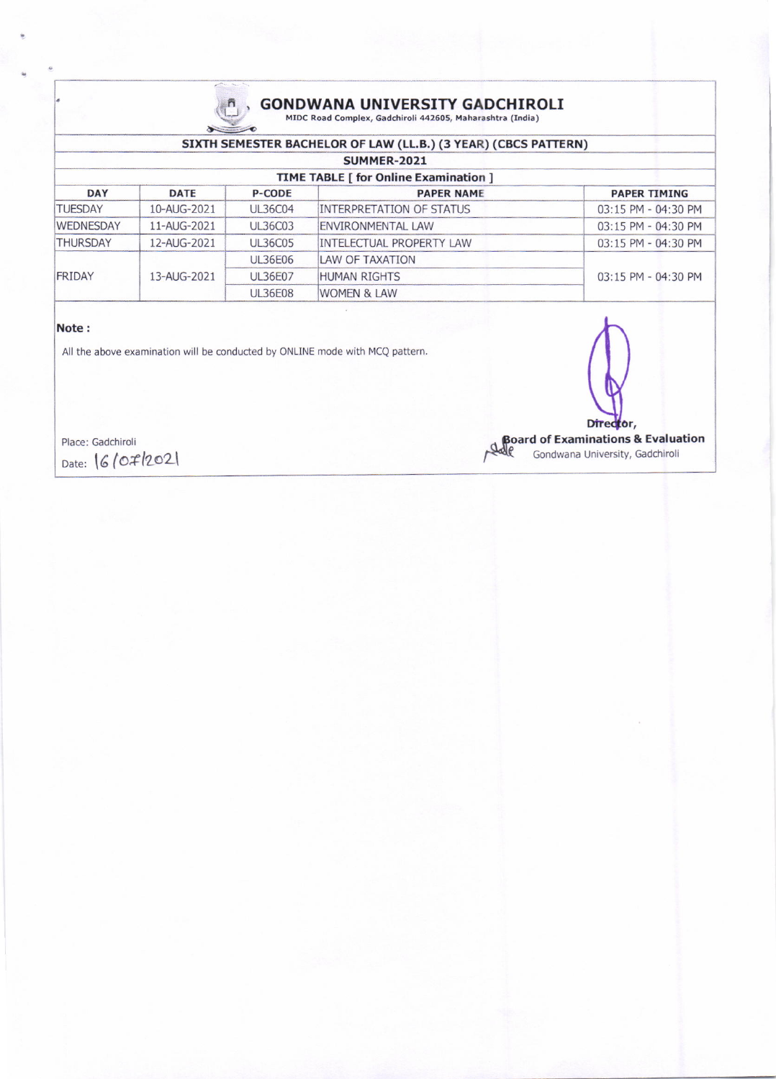

## (GONDWANA UNIVERSITY GADCHIROLI MIDC Road Complex, Gadchiroli 442605, Maharashtra (India)

| SIXTH SEMESTER BACHELOR OF LAW (LL.B.) (3 YEAR) (CBCS PATTERN) |             |                |                                 |                         |  |  |
|----------------------------------------------------------------|-------------|----------------|---------------------------------|-------------------------|--|--|
| SUMMER-2021                                                    |             |                |                                 |                         |  |  |
| <b>TIME TABLE [ for Online Examination ]</b>                   |             |                |                                 |                         |  |  |
| <b>DAY</b>                                                     | <b>DATE</b> | <b>P-CODE</b>  | <b>PAPER NAME</b>               | <b>PAPER TIMING</b>     |  |  |
| TUESDAY                                                        | 10-AUG-2021 | <b>UL36C04</b> | INTERPRETATION OF STATUS        | 03:15 PM - 04:30 PM     |  |  |
| <b>WEDNESDAY</b>                                               | 11-AUG-2021 | <b>UL36C03</b> | ENVIRONMENTAL LAW               | 03:15 PM - 04:30 PM     |  |  |
| <b>THURSDAY</b>                                                | 12-AUG-2021 | <b>UL36C05</b> | <b>INTELECTUAL PROPERTY LAW</b> | 03:15 PM - 04:30 PM     |  |  |
| FRIDAY                                                         | 13-AUG-2021 | <b>UL36E06</b> | LAW OF TAXATION                 |                         |  |  |
|                                                                |             | <b>UL36E07</b> | <b>HUMAN RIGHTS</b>             | $03:15$ PM - $04:30$ PM |  |  |
|                                                                |             | <b>UL36E08</b> | <b>WOMEN &amp; LAW</b>          |                         |  |  |

### Note :

All the above examination will be conducted by ONLINE mode with MCQ pattern.

Place: Gadchiroli Date: 16/07/2021

Director,

**Board of Examinations & Evaluation**<br>Sale Gondwana University, Gadchirol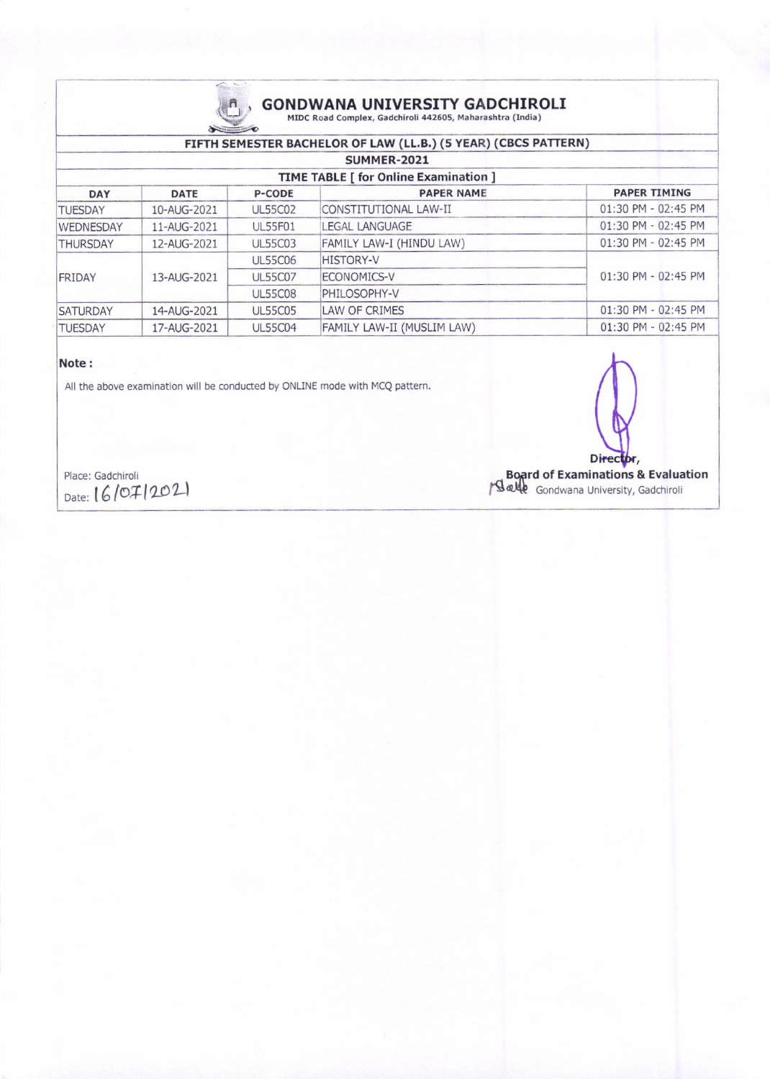

## **GONDWANA UNIVERSITY GADCHIROLI** MIDC Road Complex, Gadchiroli 442605, Maharashtra (India)

### FIFTH SEMESTER BACHELOR OF LAW (LL.B.) (5 YEAR) (CBCS PATTERN)

| SUMMER-2021                                  |             |                |                            |                         |  |
|----------------------------------------------|-------------|----------------|----------------------------|-------------------------|--|
| <b>TIME TABLE [ for Online Examination ]</b> |             |                |                            |                         |  |
| <b>DAY</b>                                   | <b>DATE</b> | <b>P-CODE</b>  | <b>PAPER NAME</b>          | <b>PAPER TIMING</b>     |  |
| <b>TUESDAY</b>                               | 10-AUG-2021 | <b>UL55C02</b> | CONSTITUTIONAL LAW-II      | 01:30 PM - 02:45 PM     |  |
| <b>WEDNESDAY</b>                             | 11-AUG-2021 | <b>UL55F01</b> | <b>LEGAL LANGUAGE</b>      | $01:30$ PM - $02:45$ PM |  |
| <b>THURSDAY</b>                              | 12-AUG-2021 | <b>UL55C03</b> | FAMILY LAW-I (HINDU LAW)   | $01:30$ PM - $02:45$ PM |  |
| FRIDAY                                       | 13-AUG-2021 | <b>UL55C06</b> | <b>HISTORY-V</b>           |                         |  |
|                                              |             | <b>UL55C07</b> | <b>ECONOMICS-V</b>         | $01:30$ PM - $02:45$ PM |  |
|                                              |             | <b>UL55C08</b> | PHILOSOPHY-V               |                         |  |
| <b>SATURDAY</b>                              | 14-AUG-2021 | <b>UL55C05</b> | LAW OF CRIMES              | 01:30 PM - 02:45 PM     |  |
| <b>TUESDAY</b>                               | 17-AUG-2021 | <b>UL55C04</b> | FAMILY LAW-II (MUSLIM LAW) | 01:30 PM - 02:45 PM     |  |

#### Note:

All the above examination will be conducted by ONLINE mode with MCQ pattern.

Director,

Board of Examinations & Evaluation<br>
Salle Gondwana University, Gadchiroli

Place: Gadchiroli Date: 16/07/2021